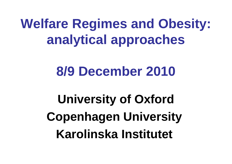# **Welfare Regimes and Obesity: analytical approaches**

## **8/9 December 2010**

**University of Oxford Copenhagen University Karolinska Institutet**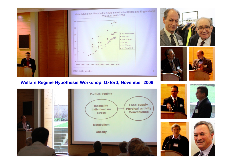

#### **Welfare Regime Hypothesis Workshop, Oxford, November 2009**











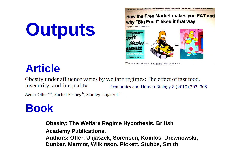# **Outputs**

How the Free Market makes you FAT and why "Big Food" likes it that way

the Free Market makes you FAT and why "Big Food" likes



Why are more and more of us getting fatter and fatter?

### **Article**

Obesity under affluence varies by welfare regimes: The effect of fast food, insecurity, and inequality Economics and Human Biology 8 (2010) 297–308 Avner Offer<sup>a,\*</sup>, Rachel Pechey<sup>b</sup>, Stanley Ulijaszek<sup>b</sup>

### **Book**

**Obesity: The Welfare Regime Hypothesis. British Academy Publications. Authors: Offer, Ulijaszek, Sorensen, Komlos, Drewnowski, Dunbar, Marmot, Wilkinson, Pickett, Stubbs, Smith**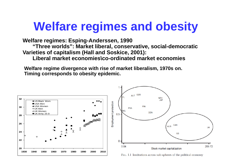### **Welfare regimes and obesity**

**Welfare regimes: Esping-Anderssen, 1990** 

**"Three worlds": Market liberal, conservative, social-democratic Varieties of capitalism (Hall and Soskice, 2001):**

**Liberal market economies\co-ordinated market economies**

**Welfare regime divergence with rise of market liberalism, 1970s on. Timing corresponds to obesity epidemic.**

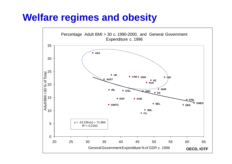### **Welfare regimes and obesity**

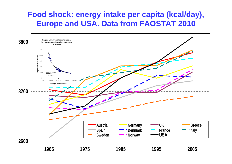### **Food shock: energy intake per capita (kcal/day), Europe and USA. Data from FAOSTAT 2010**

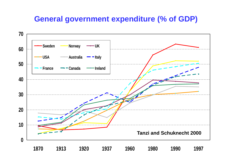### **General government expenditure (% of GDP)**

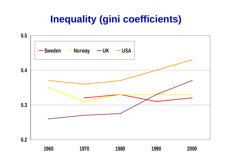### **Inequality (gini coefficients)**

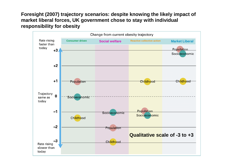#### **Foresight (2007) trajectory scenarios: despite knowing the likely impact of market liberal forces, UK government chose to stay with individual responsibility for obesity**

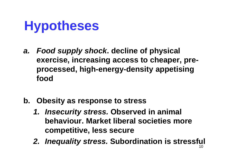# **Hypotheses**

- *a. Food supply shock***. decline of physical exercise, increasing access to cheaper, preprocessed, high-energy-density appetising food**
- **b. Obesity as response to stress** 
	- *1. Insecurity stress.* **Observed in animal behaviour. Market liberal societies more competitive, less secure**
	- 10 *2. Inequality stress.* **Subordination is stressful**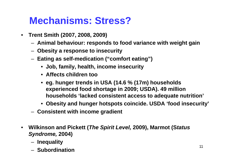### **Mechanisms: Stress?**

- **Trent Smith (2007, 2008, 2009)**
	- **Animal behaviour: responds to food variance with weight gain**
	- **Obesity a response to insecurity**
	- **Eating as self-medication ("comfort eating")**
		- **Job, family, health, income insecurity**
		- **Affects children too**
		- **eg. hunger trends in USA (14.6 % (17m) households experienced food shortage in 2009; USDA). 49 million households 'lacked consistent access to adequate nutrition'**
		- **Obesity and hunger hotspots coincide. USDA 'food insecurity'**
	- **Consistent with income gradient**
- **Wilkinson and Pickett (***The Spirit Level,* **2009), Marmot (S***tatus Syndrome,* **2004)**
	- **Inequality**
	- **Subordination**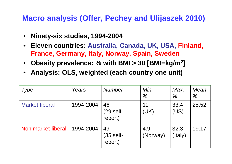### **Macro analysis (Offer, Pechey and Ulijaszek 2010)**

- **Ninety-six studies, 1994-2004**
- **Eleven countries: Australia, Canada, UK, USA, Finland, France, Germany, Italy, Norway, Spain, Sweden**
- **Obesity prevalence: % with BMI > 30 [BMI=kg/m<sup>2</sup> ]**
- **Analysis: OLS, weighted (each country one unit)**

| <b>Type</b>           | Years     | <b>Number</b>                | Min.<br>$\%$    | Max.<br>$\frac{0}{0}$ | Mean<br>$\%$ |
|-----------------------|-----------|------------------------------|-----------------|-----------------------|--------------|
| <b>Market-liberal</b> | 1994-2004 | 46<br>$(29$ self-<br>report) | 11<br>(UK)      | 33.4<br>(US)          | 25.52        |
| Non market-liberal    | 1994-2004 | 49<br>$(35$ self-<br>report) | 4.9<br>(Norway) | 32.3<br>(Italy)       | 19.17        |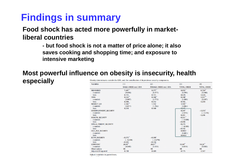### **Findings in summary**

**Food shock has acted more powerfully in marketliberal countries**

> **- but food shock is not a matter of price alone; it also saves cooking and shopping time; and exposure to intensive marketing**

#### **Most powerful influence on obesity is insecurity, health especially**Obesity determinants outside the USA; and the contribution of dependence security components

| Variables                                                                                                                                                                                                       | (1)                                                                            | (2)                                                                                | (3)                                                                                                                                           | (4)                                                         |
|-----------------------------------------------------------------------------------------------------------------------------------------------------------------------------------------------------------------|--------------------------------------------------------------------------------|------------------------------------------------------------------------------------|-----------------------------------------------------------------------------------------------------------------------------------------------|-------------------------------------------------------------|
|                                                                                                                                                                                                                 | <b>MALE_OBESE_excl. USA</b>                                                    | FEMALE_OBESE excl. USA                                                             | <b>TOTAL_OBESE</b>                                                                                                                            | <b>TOTAL_OBESE</b>                                          |
| <b>MEASURED</b><br>t-statistic<br>beta<br><b>TIME</b><br>t-statistic<br>beta<br><b>MARKET_LIB</b><br>t-statistic                                                                                                | $7.487$ "<br>(9.456)<br>0.715<br>0.533<br>(3.867)<br>0.306<br>2.382<br>(3.077) | $9.377$ "<br>(8.277)<br>0.751<br>0.440<br>(2.772)<br>0.212<br>1.932<br>(1.792)     | 8.853"<br>(6.298)<br>0.629<br>$0.348$ <sup>*</sup><br>(2.369)<br>0.162<br>$3.105$ "<br>(3.082)                                                | 8.720"<br>(5.946)<br>0.620<br>$0.507$ "<br>(3.287)<br>0.236 |
| beta<br><b>UNEMPLOYMENT SECURITY</b><br>t-statistic<br>beta<br><b>HEALTH_SECURITY</b><br>t-statistic<br>beta<br>SINGLE_PARENT_SECURITY<br>t-statistic<br>beta<br><b>OLD_AGE_SECURITY</b><br>t-statistic<br>beta | 0.218                                                                          | 0.149                                                                              | 0.247<br>0.247<br>(2.078)<br>0.201<br>$-0.221$<br>$(-2.830)$<br>$-0.498$<br>$-0.275$<br>$(-0.995)$<br>$-0.152$<br>0.0867<br>(0.485)<br>0.0453 | $-0.253$<br>$(-2.276)$<br>$-0.206$                          |
| <b>ECON SECURITY</b><br>t-statistic<br>beta<br><b>CONSTANT</b><br>t-statistic<br><b>Observations</b><br>Adjusted R-squared                                                                                      | $-0.272$<br>$(-3.208)$<br>$-0.283$<br>26.69<br>(4.545)<br>66<br>0.738          | $-0.269$ <sup>*</sup><br>$(-2.276)$<br>$-0.234$<br>26.67<br>(3.151)<br>66<br>0.689 | 13.40<br>(4.819)<br>88<br>0.775                                                                                                               | 14.38<br>(5.683)<br>88<br>0.547                             |

Robust *t*-statistics in parentheses.